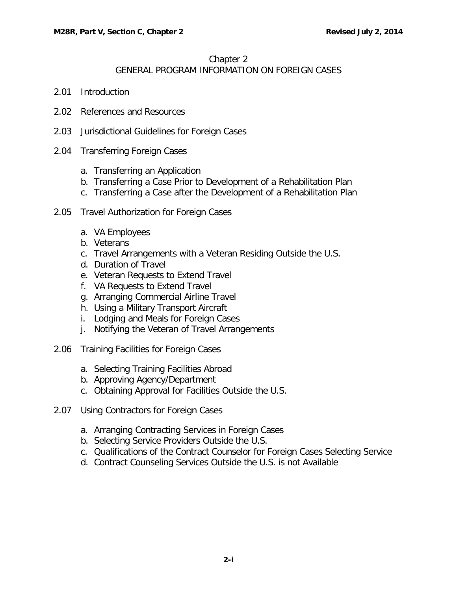# Chapter 2

## GENERAL PROGRAM INFORMATION ON FOREIGN CASES

- 2.01 [Introduction](#page-1-0)
- 2.02 [References and Resources](#page-1-1)
- 2.03 [Jurisdictional Guidelines for Foreign Cases](#page-1-2)
- 2.04 [Transferring Foreign Cases](#page-3-0)
	- a. [Transferring an Application](#page-3-1)
	- b. [Transferring a Case Prior to Development of a Rehabilitation Plan](#page-3-2)
	- c. [Transferring a Case after the Development of a Rehabilitation Plan](#page-3-3)
- 2.05 [Travel Authorization for Foreign Cases](#page-3-4)
	- a. [VA Employees](#page-3-5)
	- b. [Veterans](#page-4-0)
	- c. [Travel Arrangements with a Veteran Residing Outside the U.S.](#page-4-1)
	- d. [Duration of Travel](#page-4-2)
	- e. [Veteran Requests to Extend Travel](#page-5-0)
	- f. [VA Requests to Extend Travel](#page-5-1)
	- g. [Arranging Commercial Airline Travel](#page-5-2)
	- h. [Using a Military Transport Aircraft](#page-6-0)
	- i. [Lodging and Meals for Foreign Cases](#page-6-1)
	- j. [Notifying the Veteran of Travel Arrangements](#page-6-2)
- 2.06 [Training Facilities for Foreign Cases](#page-6-3)
	- a. [Selecting Training Facilities Abroad](#page-6-4)
	- b. [Approving Agency/Department](#page-7-0)
	- c. [Obtaining Approval for Facilities Outside the U.S.](#page-8-0)
- 2.07 [Using Contractors for Foreign Cases](#page-8-1)
	- a. [Arranging Contracting Services in Foreign Cases](#page-8-2)
	- b. [Selecting Service Providers Outside the U.S.](#page-8-3)
	- c. [Qualifications of the Contract Counselor for Foreign Cases](#page-8-4) Selecting Service
	- d. [Contract Counseling Services Outside the U.S. is not Available](#page-8-5)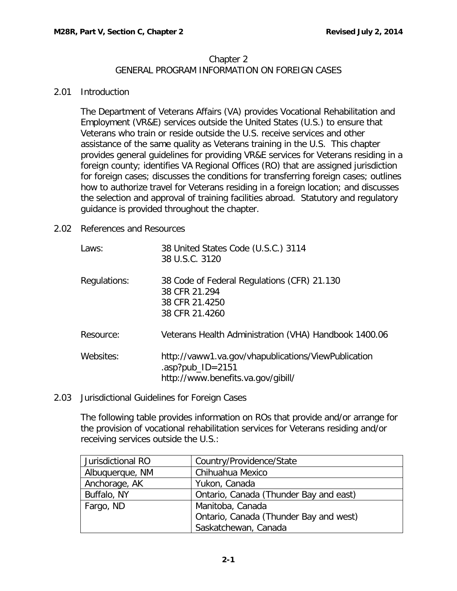### Chapter 2 GENERAL PROGRAM INFORMATION ON FOREIGN CASES

#### <span id="page-1-0"></span>2.01 Introduction

The Department of Veterans Affairs (VA) provides Vocational Rehabilitation and Employment (VR&E) services outside the United States (U.S.) to ensure that Veterans who train or reside outside the U.S. receive services and other assistance of the same quality as Veterans training in the U.S. This chapter provides general guidelines for providing VR&E services for Veterans residing in a foreign county; identifies VA Regional Offices (RO) that are assigned jurisdiction for foreign cases; discusses the conditions for transferring foreign cases; outlines how to authorize travel for Veterans residing in a foreign location; and discusses the selection and approval of training facilities abroad. Statutory and regulatory guidance is provided throughout the chapter.

<span id="page-1-1"></span>2.02 References and Resources

| Laws:        | 38 United States Code (U.S.C.) 3114<br>38 U.S.C. 3120                                                         |  |
|--------------|---------------------------------------------------------------------------------------------------------------|--|
| Regulations: | 38 Code of Federal Regulations (CFR) 21.130<br>38 CFR 21.294<br>38 CFR 21.4250<br>38 CFR 21.4260              |  |
| Resource:    | Veterans Health Administration (VHA) Handbook 1400.06                                                         |  |
| Websites:    | http://vaww1.va.gov/vhapublications/ViewPublication<br>.asp?pub_ID=2151<br>http://www.benefits.va.gov/gibill/ |  |

<span id="page-1-2"></span>2.03 Jurisdictional Guidelines for Foreign Cases

The following table provides information on ROs that provide and/or arrange for the provision of vocational rehabilitation services for Veterans residing and/or receiving services outside the U.S.:

| Jurisdictional RO | Country/Providence/State               |
|-------------------|----------------------------------------|
| Albuquerque, NM   | Chihuahua Mexico                       |
| Anchorage, AK     | Yukon, Canada                          |
| Buffalo, NY       | Ontario, Canada (Thunder Bay and east) |
| Fargo, ND         | Manitoba, Canada                       |
|                   | Ontario, Canada (Thunder Bay and west) |
|                   | Saskatchewan, Canada                   |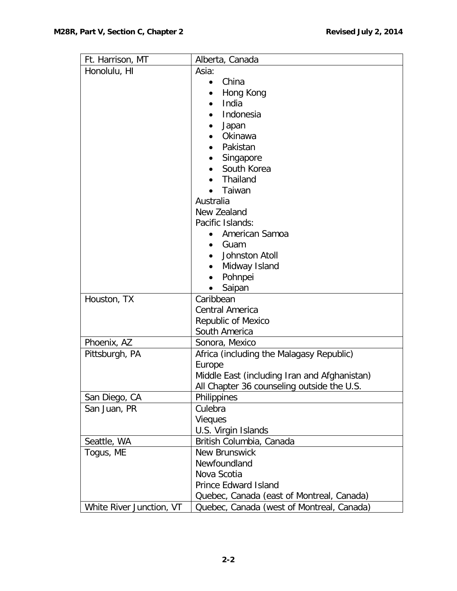| Ft. Harrison, MT         | Alberta, Canada                                            |
|--------------------------|------------------------------------------------------------|
| Honolulu, HI             | Asia:                                                      |
|                          | China<br>$\bullet$                                         |
|                          | Hong Kong                                                  |
|                          | India                                                      |
|                          | Indonesia                                                  |
|                          | Japan                                                      |
|                          | Okinawa                                                    |
|                          | Pakistan                                                   |
|                          | Singapore                                                  |
|                          | South Korea                                                |
|                          | Thailand                                                   |
|                          | Taiwan                                                     |
|                          | Australia                                                  |
|                          | New Zealand                                                |
|                          | Pacific Islands:                                           |
|                          | American Samoa                                             |
|                          | Guam                                                       |
|                          | Johnston Atoll                                             |
|                          | Midway Island                                              |
|                          | Pohnpei<br>$\bullet$                                       |
|                          | Saipan                                                     |
| Houston, TX              | Caribbean                                                  |
|                          | <b>Central America</b>                                     |
|                          | Republic of Mexico<br>South America                        |
| Phoenix, AZ              |                                                            |
| Pittsburgh, PA           | Sonora, Mexico<br>Africa (including the Malagasy Republic) |
|                          | Europe                                                     |
|                          | Middle East (including Iran and Afghanistan)               |
|                          | All Chapter 36 counseling outside the U.S.                 |
| San Diego, CA            | Philippines                                                |
| San Juan, PR             | Culebra                                                    |
|                          | <b>Vieques</b>                                             |
|                          | U.S. Virgin Islands                                        |
| Seattle, WA              | British Columbia, Canada                                   |
| Togus, ME                | <b>New Brunswick</b>                                       |
|                          | Newfoundland                                               |
|                          | Nova Scotia                                                |
|                          | <b>Prince Edward Island</b>                                |
|                          | Quebec, Canada (east of Montreal, Canada)                  |
| White River Junction, VT | Quebec, Canada (west of Montreal, Canada)                  |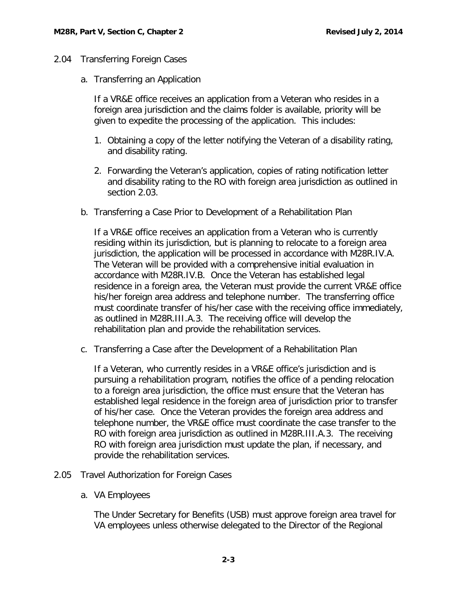### <span id="page-3-1"></span><span id="page-3-0"></span>2.04 Transferring Foreign Cases

a. Transferring an Application

If a VR&E office receives an application from a Veteran who resides in a foreign area jurisdiction and the claims folder is available, priority will be given to expedite the processing of the application. This includes:

- 1. Obtaining a copy of the letter notifying the Veteran of a disability rating, and disability rating.
- 2. Forwarding the Veteran's application, copies of rating notification letter and disability rating to the RO with foreign area jurisdiction as outlined in section 2.03.
- <span id="page-3-2"></span>b. Transferring a Case Prior to Development of a Rehabilitation Plan

If a VR&E office receives an application from a Veteran who is currently residing within its jurisdiction, but is planning to relocate to a foreign area jurisdiction, the application will be processed in accordance with M28R.IV.A. The Veteran will be provided with a comprehensive initial evaluation in accordance with M28R.IV.B. Once the Veteran has established legal residence in a foreign area, the Veteran must provide the current VR&E office his/her foreign area address and telephone number. The transferring office must coordinate transfer of his/her case with the receiving office immediately, as outlined in M28R.III.A.3. The receiving office will develop the rehabilitation plan and provide the rehabilitation services.

<span id="page-3-3"></span>c. Transferring a Case after the Development of a Rehabilitation Plan

If a Veteran, who currently resides in a VR&E office's jurisdiction and is pursuing a rehabilitation program, notifies the office of a pending relocation to a foreign area jurisdiction, the office must ensure that the Veteran has established legal residence in the foreign area of jurisdiction prior to transfer of his/her case. Once the Veteran provides the foreign area address and telephone number, the VR&E office must coordinate the case transfer to the RO with foreign area jurisdiction as outlined in M28R.III.A.3. The receiving RO with foreign area jurisdiction must update the plan, if necessary, and provide the rehabilitation services.

- <span id="page-3-5"></span><span id="page-3-4"></span>2.05 Travel Authorization for Foreign Cases
	- a. VA Employees

The Under Secretary for Benefits (USB) must approve foreign area travel for VA employees unless otherwise delegated to the Director of the Regional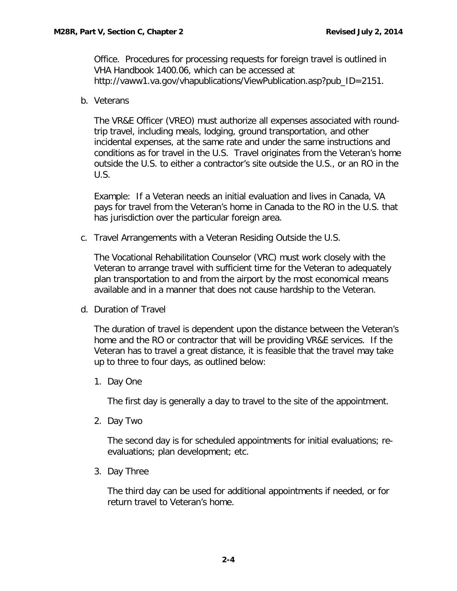Office. Procedures for processing requests for foreign travel is outlined in VHA Handbook 1400.06, which can be accessed at http://vaww1.va.gov/vhapublications/ViewPublication.asp?pub\_ID=2151.

<span id="page-4-0"></span>b. Veterans

The VR&E Officer (VREO) must authorize all expenses associated with roundtrip travel, including meals, lodging, ground transportation, and other incidental expenses, at the same rate and under the same instructions and conditions as for travel in the U.S. Travel originates from the Veteran's home outside the U.S. to either a contractor's site outside the U.S., or an RO in the U.S.

Example: If a Veteran needs an initial evaluation and lives in Canada, VA pays for travel from the Veteran's home in Canada to the RO in the U.S. that has jurisdiction over the particular foreign area.

<span id="page-4-1"></span>c. Travel Arrangements with a Veteran Residing Outside the U.S.

The Vocational Rehabilitation Counselor (VRC) must work closely with the Veteran to arrange travel with sufficient time for the Veteran to adequately plan transportation to and from the airport by the most economical means available and in a manner that does not cause hardship to the Veteran.

<span id="page-4-2"></span>d. Duration of Travel

The duration of travel is dependent upon the distance between the Veteran's home and the RO or contractor that will be providing VR&E services. If the Veteran has to travel a great distance, it is feasible that the travel may take up to three to four days, as outlined below:

1. Day One

The first day is generally a day to travel to the site of the appointment.

2. Day Two

The second day is for scheduled appointments for initial evaluations; reevaluations; plan development; etc.

3. Day Three

The third day can be used for additional appointments if needed, or for return travel to Veteran's home.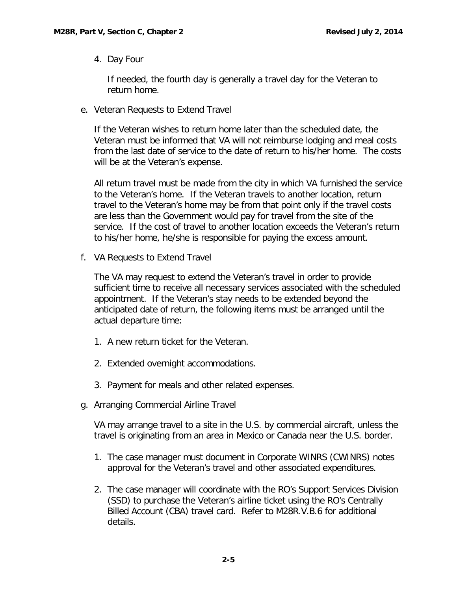4. Day Four

If needed, the fourth day is generally a travel day for the Veteran to return home.

<span id="page-5-0"></span>e. Veteran Requests to Extend Travel

If the Veteran wishes to return home later than the scheduled date, the Veteran must be informed that VA will not reimburse lodging and meal costs from the last date of service to the date of return to his/her home. The costs will be at the Veteran's expense.

All return travel must be made from the city in which VA furnished the service to the Veteran's home. If the Veteran travels to another location, return travel to the Veteran's home may be from that point only if the travel costs are less than the Government would pay for travel from the site of the service. If the cost of travel to another location exceeds the Veteran's return to his/her home, he/she is responsible for paying the excess amount.

<span id="page-5-1"></span>f. VA Requests to Extend Travel

The VA may request to extend the Veteran's travel in order to provide sufficient time to receive all necessary services associated with the scheduled appointment. If the Veteran's stay needs to be extended beyond the anticipated date of return, the following items must be arranged until the actual departure time:

- 1. A new return ticket for the Veteran.
- 2. Extended overnight accommodations.
- 3. Payment for meals and other related expenses.
- <span id="page-5-2"></span>g. Arranging Commercial Airline Travel

VA may arrange travel to a site in the U.S. by commercial aircraft, unless the travel is originating from an area in Mexico or Canada near the U.S. border.

- 1. The case manager must document in Corporate WINRS (CWINRS) notes approval for the Veteran's travel and other associated expenditures.
- 2. The case manager will coordinate with the RO's Support Services Division (SSD) to purchase the Veteran's airline ticket using the RO's Centrally Billed Account (CBA) travel card. Refer to M28R.V.B.6 for additional details.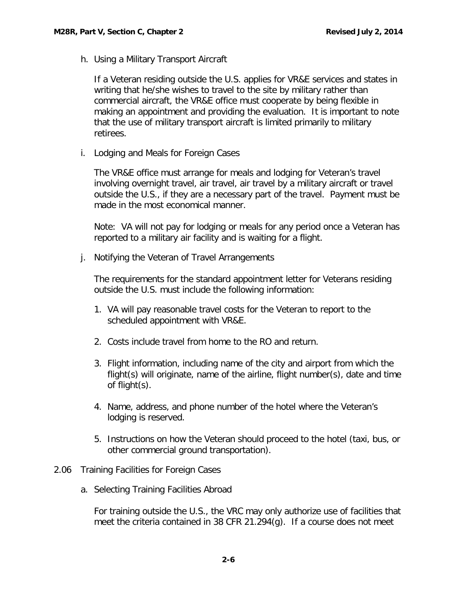<span id="page-6-0"></span>h. Using a Military Transport Aircraft

If a Veteran residing outside the U.S. applies for VR&E services and states in writing that he/she wishes to travel to the site by military rather than commercial aircraft, the VR&E office must cooperate by being flexible in making an appointment and providing the evaluation. It is important to note that the use of military transport aircraft is limited primarily to military retirees.

<span id="page-6-1"></span>i. Lodging and Meals for Foreign Cases

The VR&E office must arrange for meals and lodging for Veteran's travel involving overnight travel, air travel, air travel by a military aircraft or travel outside the U.S., if they are a necessary part of the travel. Payment must be made in the most economical manner.

Note: VA will not pay for lodging or meals for any period once a Veteran has reported to a military air facility and is waiting for a flight.

<span id="page-6-2"></span>j. Notifying the Veteran of Travel Arrangements

The requirements for the standard appointment letter for Veterans residing outside the U.S. must include the following information:

- 1. VA will pay reasonable travel costs for the Veteran to report to the scheduled appointment with VR&E.
- 2. Costs include travel from home to the RO and return.
- 3. Flight information, including name of the city and airport from which the flight(s) will originate, name of the airline, flight number(s), date and time of flight(s).
- 4. Name, address, and phone number of the hotel where the Veteran's lodging is reserved.
- 5. Instructions on how the Veteran should proceed to the hotel (taxi, bus, or other commercial ground transportation).
- <span id="page-6-4"></span><span id="page-6-3"></span>2.06 Training Facilities for Foreign Cases
	- a. Selecting Training Facilities Abroad

For training outside the U.S., the VRC may only authorize use of facilities that meet the criteria contained in 38 CFR 21.294(g). If a course does not meet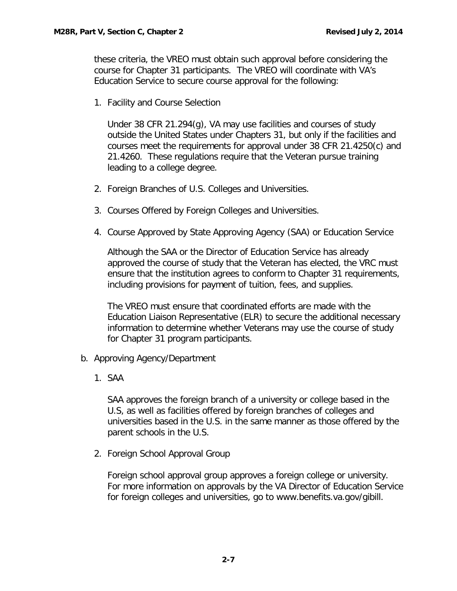these criteria, the VREO must obtain such approval before considering the course for Chapter 31 participants. The VREO will coordinate with VA's Education Service to secure course approval for the following:

1. Facility and Course Selection

Under 38 CFR 21.294(g), VA may use facilities and courses of study outside the United States under Chapters 31, but only if the facilities and courses meet the requirements for approval under 38 CFR 21.4250(c) and 21.4260. These regulations require that the Veteran pursue training leading to a college degree.

- 2. Foreign Branches of U.S. Colleges and Universities.
- 3. Courses Offered by Foreign Colleges and Universities.
- 4. Course Approved by State Approving Agency (SAA) or Education Service

Although the SAA or the Director of Education Service has already approved the course of study that the Veteran has elected, the VRC must ensure that the institution agrees to conform to Chapter 31 requirements, including provisions for payment of tuition, fees, and supplies.

The VREO must ensure that coordinated efforts are made with the Education Liaison Representative (ELR) to secure the additional necessary information to determine whether Veterans may use the course of study for Chapter 31 program participants.

- <span id="page-7-0"></span>b. Approving Agency/Department
	- 1. SAA

SAA approves the foreign branch of a university or college based in the U.S, as well as facilities offered by foreign branches of colleges and universities based in the U.S. in the same manner as those offered by the parent schools in the U.S.

2. Foreign School Approval Group

Foreign school approval group approves a foreign college or university. For more information on approvals by the VA Director of Education Service for foreign colleges and universities, go to www.benefits.va.gov/gibill.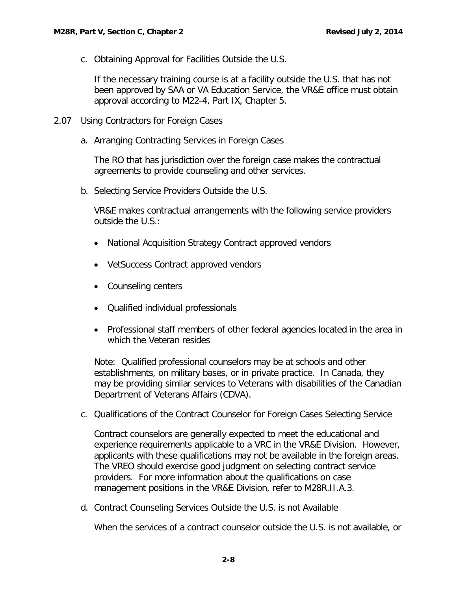<span id="page-8-0"></span>c. Obtaining Approval for Facilities Outside the U.S.

If the necessary training course is at a facility outside the U.S. that has not been approved by SAA or VA Education Service, the VR&E office must obtain approval according to M22-4, Part IX, Chapter 5.

- <span id="page-8-2"></span><span id="page-8-1"></span>2.07 Using Contractors for Foreign Cases
	- a. Arranging Contracting Services in Foreign Cases

The RO that has jurisdiction over the foreign case makes the contractual agreements to provide counseling and other services.

<span id="page-8-3"></span>b. Selecting Service Providers Outside the U.S.

VR&E makes contractual arrangements with the following service providers outside the U.S.:

- National Acquisition Strategy Contract approved vendors
- VetSuccess Contract approved vendors
- Counseling centers
- Qualified individual professionals
- Professional staff members of other federal agencies located in the area in which the Veteran resides

Note: Qualified professional counselors may be at schools and other establishments, on military bases, or in private practice. In Canada, they may be providing similar services to Veterans with disabilities of the Canadian Department of Veterans Affairs (CDVA).

<span id="page-8-4"></span>c. Qualifications of the Contract Counselor for Foreign Cases Selecting Service

Contract counselors are generally expected to meet the educational and experience requirements applicable to a VRC in the VR&E Division. However, applicants with these qualifications may not be available in the foreign areas. The VREO should exercise good judgment on selecting contract service providers. For more information about the qualifications on case management positions in the VR&E Division, refer to M28R.II.A.3.

<span id="page-8-5"></span>d. Contract Counseling Services Outside the U.S. is not Available

When the services of a contract counselor outside the U.S. is not available, or